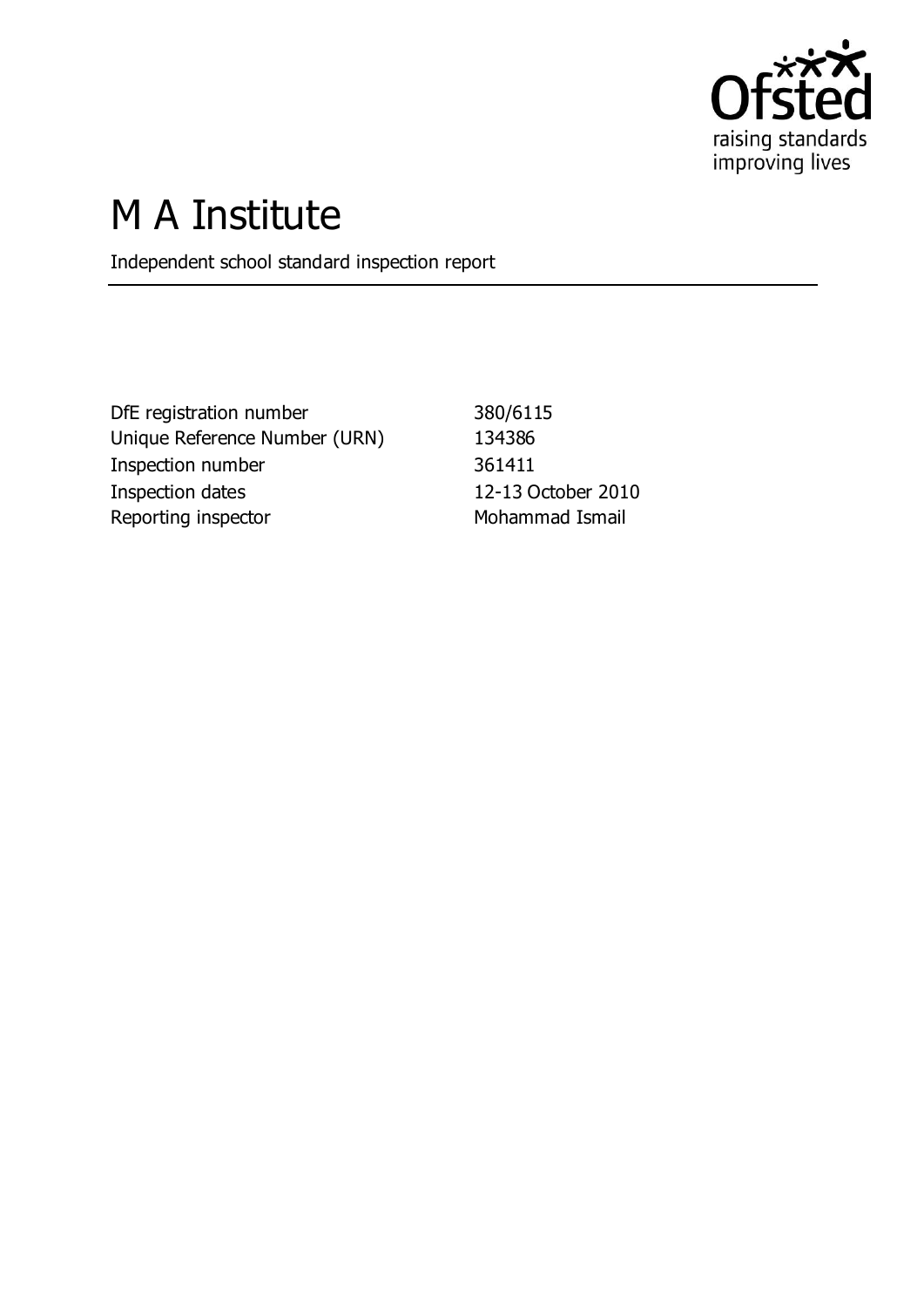

# M A Institute

Independent school standard inspection report

DfE registration number 380/6115 Unique Reference Number (URN) 134386 Inspection number 361411 Inspection dates 12-13 October 2010 Reporting inspector **Mohammad Ismail**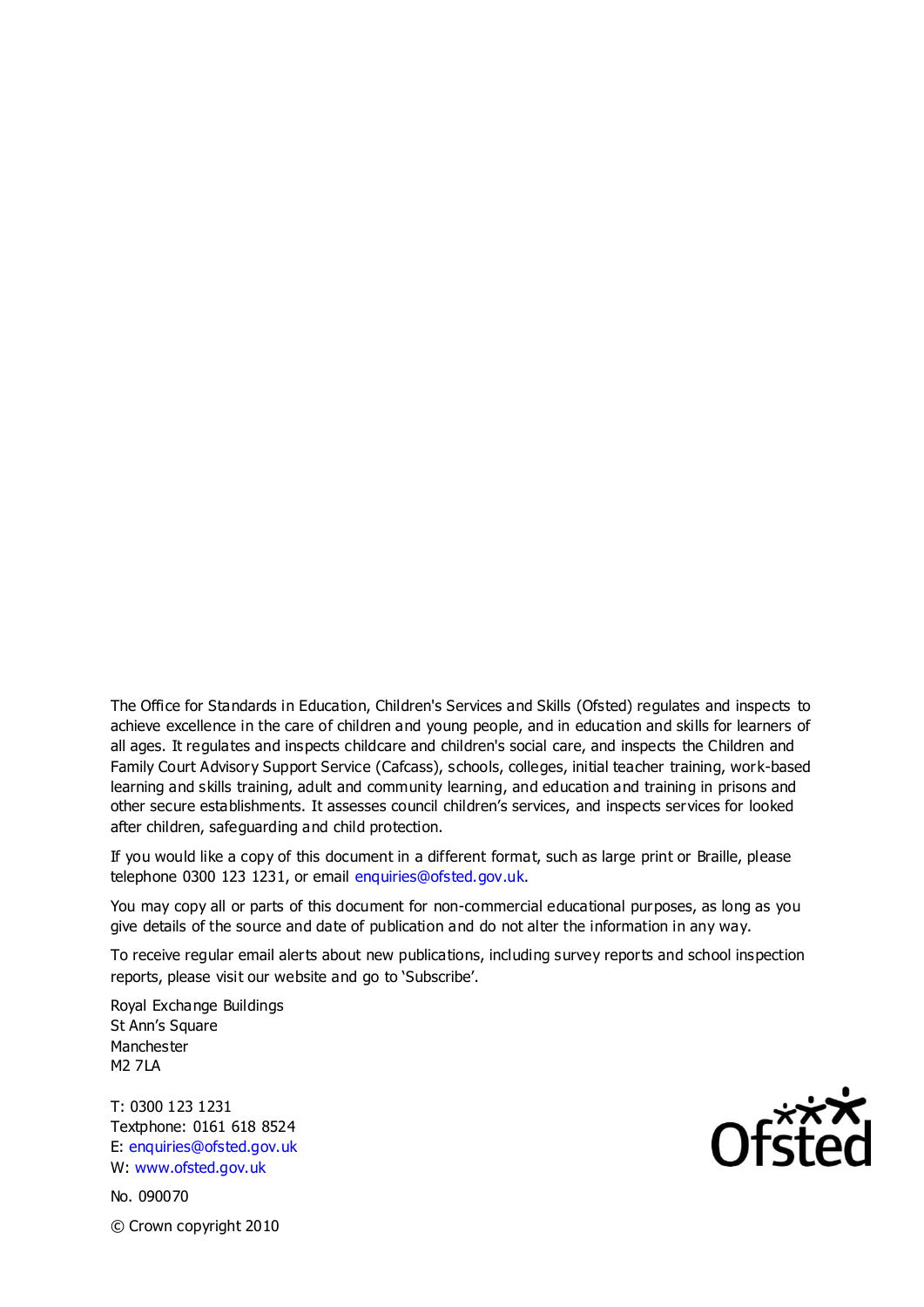The Office for Standards in Education, Children's Services and Skills (Ofsted) regulates and inspects to achieve excellence in the care of children and young people, and in education and skills for learners of all ages. It regulates and inspects childcare and children's social care, and inspects the Children and Family Court Advisory Support Service (Cafcass), schools, colleges, initial teacher training, work-based learning and skills training, adult and community learning, and education and training in prisons and other secure establishments. It assesses council children's services, and inspects services for looked after children, safeguarding and child protection.

If you would like a copy of this document in a different format, such as large print or Braille, please telephone 0300 123 1231, or email enquiries@ofsted.gov.uk.

You may copy all or parts of this document for non-commercial educational purposes, as long as you give details of the source and date of publication and do not alter the information in any way.

To receive regular email alerts about new publications, including survey reports and school inspection reports, please visit our website and go to 'Subscribe'.

Royal Exchange Buildings St Ann's Square Manchester M2 7LA

T: 0300 123 1231 Textphone: 0161 618 8524 E: enquiries@ofsted.gov.uk W: www.ofsted.gov.uk

No. 090070 © Crown copyright 2010

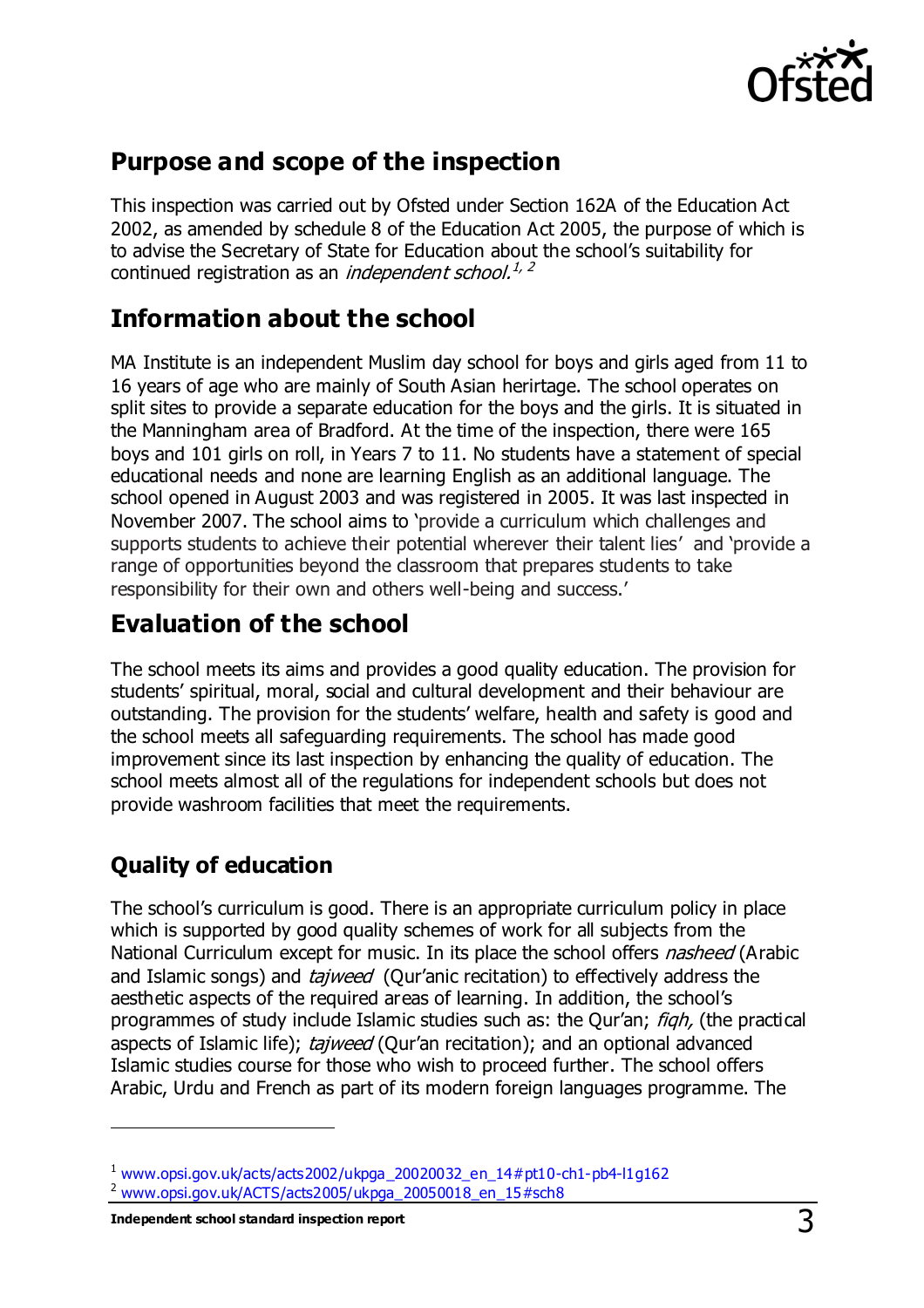

## **Purpose and scope of the inspection**

This inspection was carried out by Ofsted under Section 162A of the Education Act 2002, as amended by schedule 8 of the Education Act 2005, the purpose of which is to advise the Secretary of State for Education about the school's suitability for continued registration as an *independent school.<sup>1, 2</sup>* 

## **Information about the school**

MA Institute is an independent Muslim day school for boys and girls aged from 11 to 16 years of age who are mainly of South Asian herirtage. The school operates on split sites to provide a separate education for the boys and the girls. It is situated in the Manningham area of Bradford. At the time of the inspection, there were 165 boys and 101 girls on roll, in Years 7 to 11. No students have a statement of special educational needs and none are learning English as an additional language. The school opened in August 2003 and was registered in 2005. It was last inspected in November 2007. The school aims to 'provide a curriculum which challenges and supports students to achieve their potential wherever their talent lies' and 'provide a range of opportunities beyond the classroom that prepares students to take responsibility for their own and others well-being and success.'

## **Evaluation of the school**

The school meets its aims and provides a good quality education. The provision for students' spiritual, moral, social and cultural development and their behaviour are outstanding. The provision for the students' welfare, health and safety is good and the school meets all safeguarding requirements. The school has made good improvement since its last inspection by enhancing the quality of education. The school meets almost all of the regulations for independent schools but does not provide washroom facilities that meet the requirements.

## **Quality of education**

 $\overline{a}$ 

The school's curriculum is good. There is an appropriate curriculum policy in place which is supported by good quality schemes of work for all subjects from the National Curriculum except for music. In its place the school offers *nasheed* (Arabic and Islamic songs) and *tajweed* (Qur'anic recitation) to effectively address the aesthetic aspects of the required areas of learning. In addition, the school's programmes of study include Islamic studies such as: the Qur'an; *figh*, (the practical aspects of Islamic life); tajweed (Qur'an recitation); and an optional advanced Islamic studies course for those who wish to proceed further. The school offers Arabic, Urdu and French as part of its modern foreign languages programme. The

**Independent school standard inspection report** 3

 $1$  [www.opsi.gov.uk/acts/acts2002/ukpga\\_20020032\\_en\\_14#pt10-ch1-pb4-l1g162](https://www.opsi.gov.uk/acts/acts2002/ukpga_20020032_en_14%23pt10-ch1-pb4-l1g162)

<sup>2</sup> [www.opsi.gov.uk/ACTS/acts2005/ukpga\\_20050018\\_en\\_15#sch8](http://www.opsi.gov.uk/ACTS/acts2005/ukpga_20050018_en_15#sch8)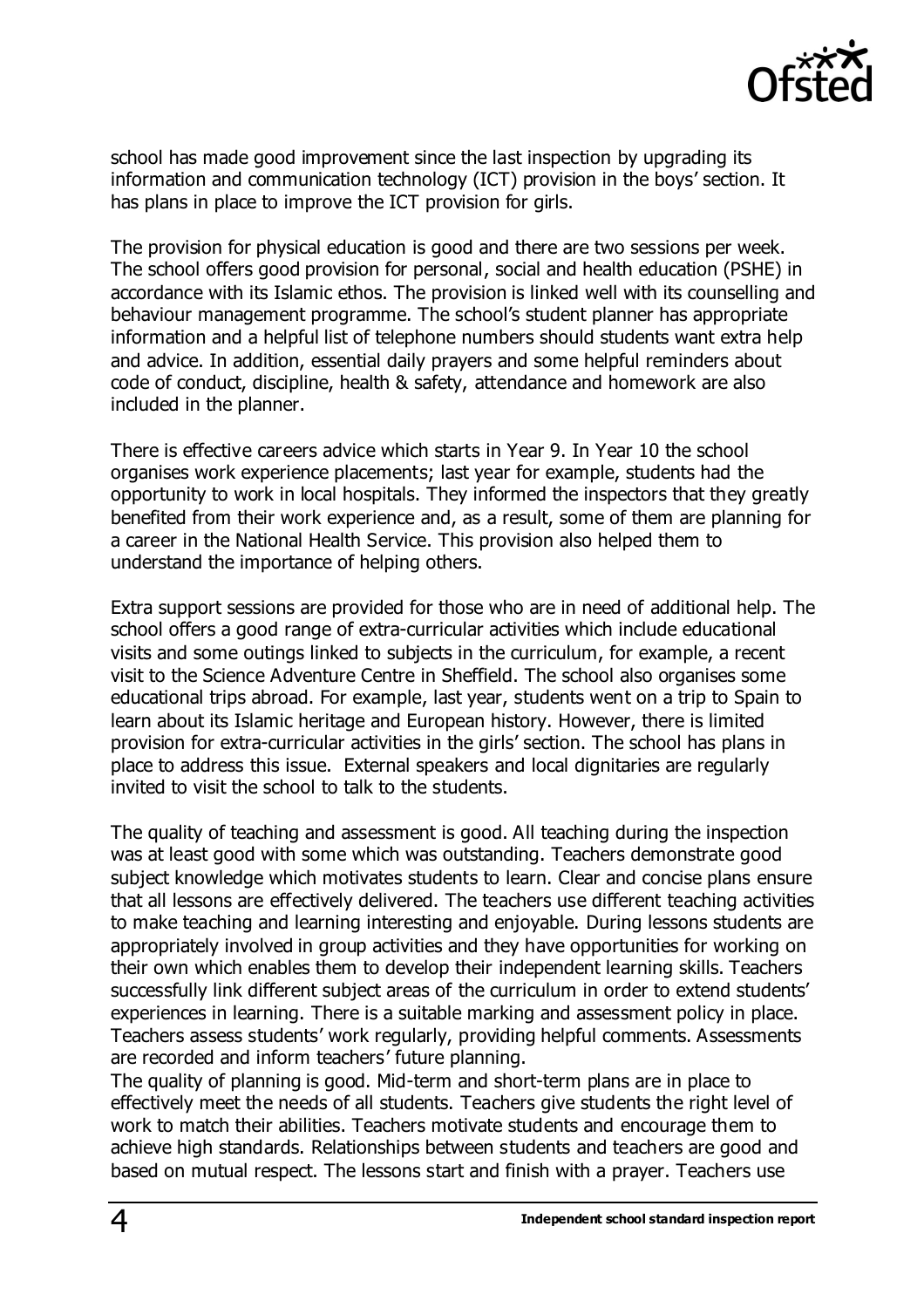

school has made good improvement since the last inspection by upgrading its information and communication technology (ICT) provision in the boys' section. It has plans in place to improve the ICT provision for girls.

The provision for physical education is good and there are two sessions per week. The school offers good provision for personal, social and health education (PSHE) in accordance with its Islamic ethos. The provision is linked well with its counselling and behaviour management programme. The school's student planner has appropriate information and a helpful list of telephone numbers should students want extra help and advice. In addition, essential daily prayers and some helpful reminders about code of conduct, discipline, health & safety, attendance and homework are also included in the planner.

There is effective careers advice which starts in Year 9. In Year 10 the school organises work experience placements; last year for example, students had the opportunity to work in local hospitals. They informed the inspectors that they greatly benefited from their work experience and, as a result, some of them are planning for a career in the National Health Service. This provision also helped them to understand the importance of helping others.

Extra support sessions are provided for those who are in need of additional help. The school offers a good range of extra-curricular activities which include educational visits and some outings linked to subjects in the curriculum, for example, a recent visit to the Science Adventure Centre in Sheffield. The school also organises some educational trips abroad. For example, last year, students went on a trip to Spain to learn about its Islamic heritage and European history. However, there is limited provision for extra-curricular activities in the girls' section. The school has plans in place to address this issue. External speakers and local dignitaries are regularly invited to visit the school to talk to the students.

The quality of teaching and assessment is good. All teaching during the inspection was at least good with some which was outstanding. Teachers demonstrate good subject knowledge which motivates students to learn. Clear and concise plans ensure that all lessons are effectively delivered. The teachers use different teaching activities to make teaching and learning interesting and enjoyable. During lessons students are appropriately involved in group activities and they have opportunities for working on their own which enables them to develop their independent learning skills. Teachers successfully link different subject areas of the curriculum in order to extend students' experiences in learning. There is a suitable marking and assessment policy in place. Teachers assess students' work regularly, providing helpful comments. Assessments are recorded and inform teachers' future planning.

The quality of planning is good. Mid-term and short-term plans are in place to effectively meet the needs of all students. Teachers give students the right level of work to match their abilities. Teachers motivate students and encourage them to achieve high standards. Relationships between students and teachers are good and based on mutual respect. The lessons start and finish with a prayer. Teachers use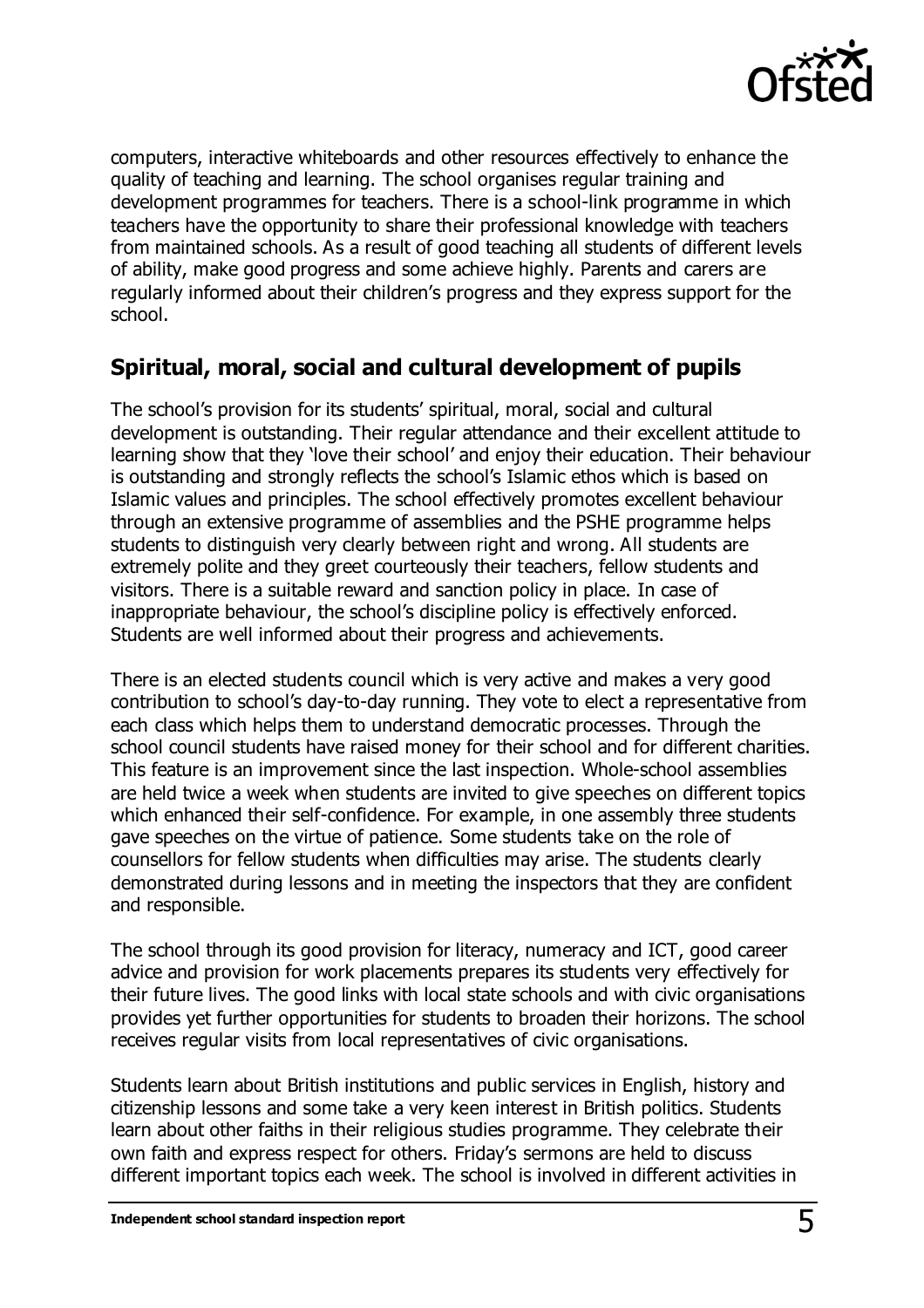

computers, interactive whiteboards and other resources effectively to enhance the quality of teaching and learning. The school organises regular training and development programmes for teachers. There is a school-link programme in which teachers have the opportunity to share their professional knowledge with teachers from maintained schools. As a result of good teaching all students of different levels of ability, make good progress and some achieve highly. Parents and carers are regularly informed about their children's progress and they express support for the school.

#### **Spiritual, moral, social and cultural development of pupils**

The school's provision for its students' spiritual, moral, social and cultural development is outstanding. Their regular attendance and their excellent attitude to learning show that they 'love their school' and enjoy their education. Their behaviour is outstanding and strongly reflects the school's Islamic ethos which is based on Islamic values and principles. The school effectively promotes excellent behaviour through an extensive programme of assemblies and the PSHE programme helps students to distinguish very clearly between right and wrong. All students are extremely polite and they greet courteously their teachers, fellow students and visitors. There is a suitable reward and sanction policy in place. In case of inappropriate behaviour, the school's discipline policy is effectively enforced. Students are well informed about their progress and achievements.

There is an elected students council which is very active and makes a very good contribution to school's day-to-day running. They vote to elect a representative from each class which helps them to understand democratic processes. Through the school council students have raised money for their school and for different charities. This feature is an improvement since the last inspection. Whole-school assemblies are held twice a week when students are invited to give speeches on different topics which enhanced their self-confidence. For example, in one assembly three students gave speeches on the virtue of patience. Some students take on the role of counsellors for fellow students when difficulties may arise. The students clearly demonstrated during lessons and in meeting the inspectors that they are confident and responsible.

The school through its good provision for literacy, numeracy and ICT, good career advice and provision for work placements prepares its students very effectively for their future lives. The good links with local state schools and with civic organisations provides yet further opportunities for students to broaden their horizons. The school receives regular visits from local representatives of civic organisations.

Students learn about British institutions and public services in English, history and citizenship lessons and some take a very keen interest in British politics. Students learn about other faiths in their religious studies programme. They celebrate their own faith and express respect for others. Friday's sermons are held to discuss different important topics each week. The school is involved in different activities in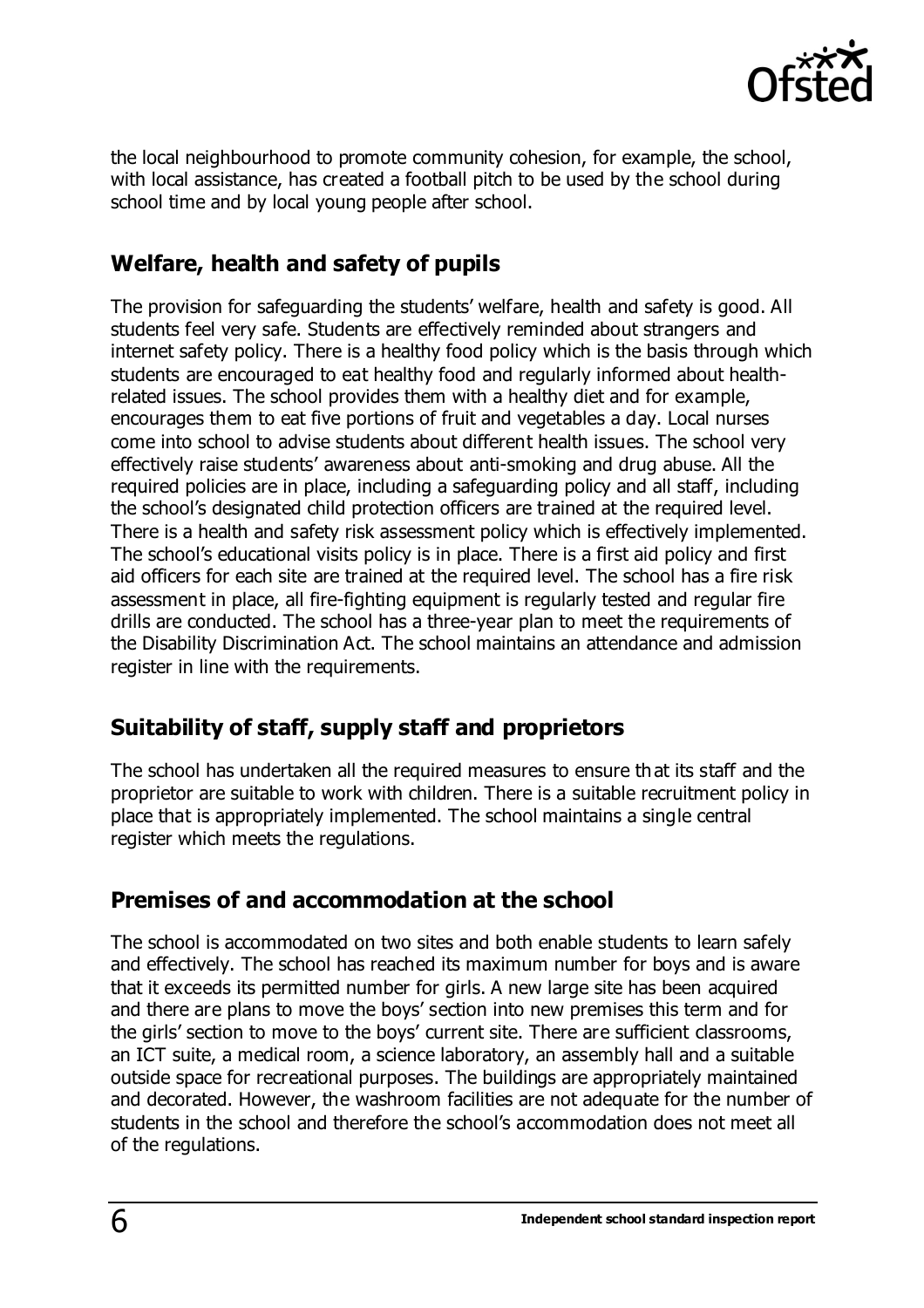

the local neighbourhood to promote community cohesion, for example, the school, with local assistance, has created a football pitch to be used by the school during school time and by local young people after school.

### **Welfare, health and safety of pupils**

The provision for safeguarding the students' welfare, health and safety is good. All students feel very safe. Students are effectively reminded about strangers and internet safety policy. There is a healthy food policy which is the basis through which students are encouraged to eat healthy food and regularly informed about healthrelated issues. The school provides them with a healthy diet and for example, encourages them to eat five portions of fruit and vegetables a day. Local nurses come into school to advise students about different health issues. The school very effectively raise students' awareness about anti-smoking and drug abuse. All the required policies are in place, including a safeguarding policy and all staff, including the school's designated child protection officers are trained at the required level. There is a health and safety risk assessment policy which is effectively implemented. The school's educational visits policy is in place. There is a first aid policy and first aid officers for each site are trained at the required level. The school has a fire risk assessment in place, all fire-fighting equipment is regularly tested and regular fire drills are conducted. The school has a three-year plan to meet the requirements of the Disability Discrimination Act. The school maintains an attendance and admission register in line with the requirements.

## **Suitability of staff, supply staff and proprietors**

The school has undertaken all the required measures to ensure that its staff and the proprietor are suitable to work with children. There is a suitable recruitment policy in place that is appropriately implemented. The school maintains a single central register which meets the regulations.

## **Premises of and accommodation at the school**

The school is accommodated on two sites and both enable students to learn safely and effectively. The school has reached its maximum number for boys and is aware that it exceeds its permitted number for girls. A new large site has been acquired and there are plans to move the boys' section into new premises this term and for the girls' section to move to the boys' current site. There are sufficient classrooms, an ICT suite, a medical room, a science laboratory, an assembly hall and a suitable outside space for recreational purposes. The buildings are appropriately maintained and decorated. However, the washroom facilities are not adequate for the number of students in the school and therefore the school's accommodation does not meet all of the regulations.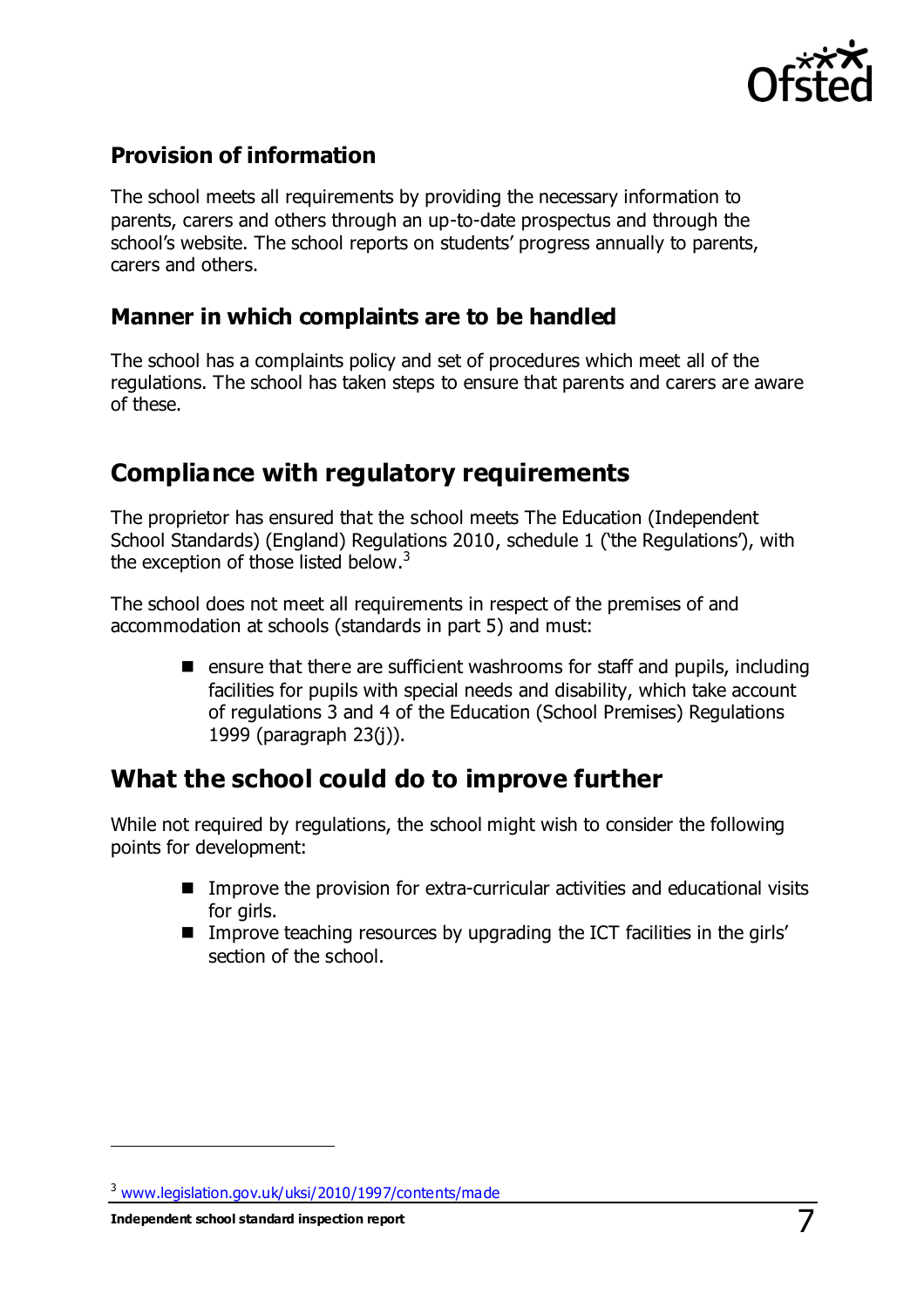

#### **Provision of information**

The school meets all requirements by providing the necessary information to parents, carers and others through an up-to-date prospectus and through the school's website. The school reports on students' progress annually to parents, carers and others.

#### **Manner in which complaints are to be handled**

The school has a complaints policy and set of procedures which meet all of the regulations. The school has taken steps to ensure that parents and carers are aware of these.

#### **Compliance with regulatory requirements**

The proprietor has ensured that the school meets The Education (Independent School Standards) (England) Regulations 2010, schedule 1 ('the Regulations'), with the exception of those listed below.<sup>3</sup>

The school does not meet all requirements in respect of the premises of and accommodation at schools (standards in part 5) and must:

> **E** ensure that there are sufficient washrooms for staff and pupils, including facilities for pupils with special needs and disability, which take account of regulations 3 and 4 of the Education (School Premises) Regulations 1999 (paragraph 23(j)).

#### **What the school could do to improve further**

While not required by regulations, the school might wish to consider the following points for development:

- Improve the provision for extra-curricular activities and educational visits for girls.
- Improve teaching resources by upgrading the ICT facilities in the girls' section of the school.

**Independent school standard inspection report** 7

 $\overline{a}$ 

<sup>3</sup> [www.legislation.gov.uk/uksi/2010/1997/contents/made](http://www.legislation.gov.uk/uksi/2010/1997/contents/made)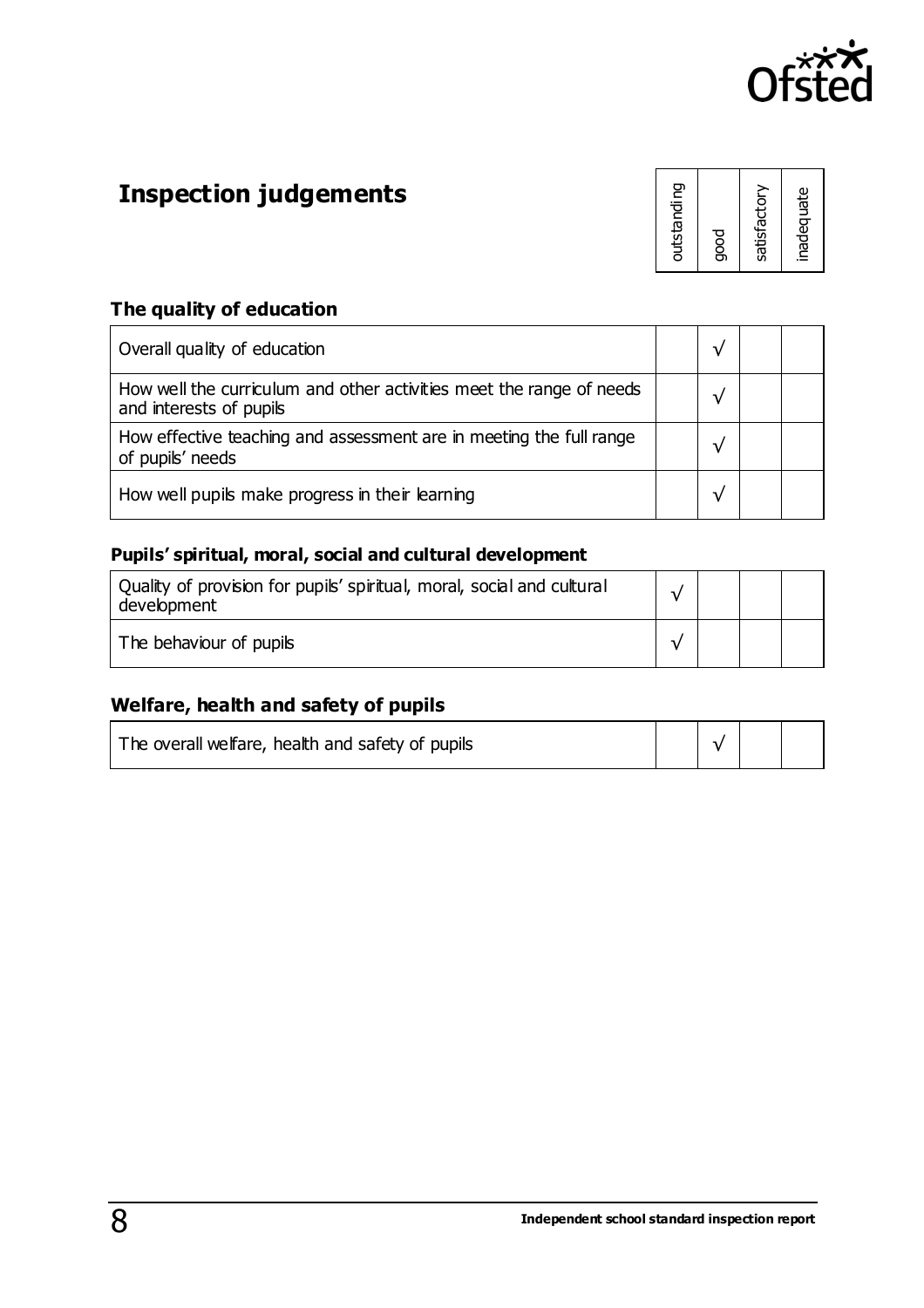

# **Inspection judgements**

| outstanding  |
|--------------|
| good         |
| satisfactory |
| inadequate   |

#### **The quality of education**

| Overall quality of education                                                                    |  |  |
|-------------------------------------------------------------------------------------------------|--|--|
| How well the curriculum and other activities meet the range of needs<br>and interests of pupils |  |  |
| How effective teaching and assessment are in meeting the full range<br>of pupils' needs         |  |  |
| How well pupils make progress in their learning                                                 |  |  |

#### **Pupils' spiritual, moral, social and cultural development**

| Quality of provision for pupils' spiritual, moral, social and cultural<br>development |  |  |
|---------------------------------------------------------------------------------------|--|--|
| The behaviour of pupils                                                               |  |  |

#### **Welfare, health and safety of pupils**

| The overall welfare, health and safety of pupils |  |  |
|--------------------------------------------------|--|--|
|                                                  |  |  |